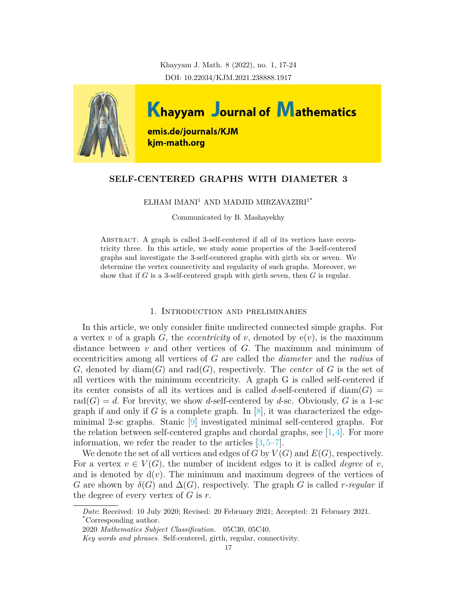Khayyam J. Math. 8 (2022), no. 1, 17-24 DOI: 10.22034/KJM.2021.238888.1917



# **SELF-CENTERED GRAPHS WITH DIAMETER 3**

 $\rm ELHAM$   $\rm IMANI^{1}$  AND MADJID  $\rm MIRZAVAZIRI^{1*}$ 

Communicated by B. Mashayekhy

ABSTRACT. A graph is called 3-self-centered if all of its vertices have eccentricity three. In this article, we study some properties of the 3-self-centered graphs and investigate the 3-self-centered graphs with girth six or seven. We determine the vertex connectivity and regularity of such graphs. Moreover, we show that if *G* is a 3-self-centered graph with girth seven, then *G* is regular.

#### 1. Introduction and preliminaries

In this article, we only consider finite undirected connected simple graphs. For a vertex *v* of a graph *G*, the *eccentricity* of *v*, denoted by  $e(v)$ , is the maximum distance between *v* and other vertices of *G.* The maximum and minimum of eccentricities among all vertices of *G* are called the *diameter* and the *radius* of *G*, denoted by diam(*G*) and rad(*G*), respectively. The *center* of *G* is the set of all vertices with the minimum eccentricity. A graph G is called self-centered if its center consists of all its vertices and is called *d*-self-centered if  $\text{diam}(G)$  =  $rad(G) = d$ . For brevity, we show *d*-self-centered by *d*-sc. Obviously, *G* is a 1-sc graph if and only if *G* is a complete graph. In  $[8]$  $[8]$ , it was characterized the edgeminimal 2-sc graphs. Stanic [[9](#page-7-1)] investigated minimal self-centered graphs. For the relation between self-centered graphs and chordal graphs, see  $[1,4]$  $[1,4]$ . For more information, we refer the reader to the articles [\[3,](#page-7-4) [5](#page-7-5)[–7](#page-7-6)].

We denote the set of all vertices and edges of  $G$  by  $V(G)$  and  $E(G)$ , respectively. For a vertex  $v \in V(G)$ , the number of incident edges to it is called *degree* of *v*, and is denoted by  $d(v)$ . The minimum and maximum degrees of the vertices of *G* are shown by  $\delta(G)$  and  $\Delta(G)$ , respectively. The graph *G* is called *r*-*regular* if the degree of every vertex of *G* is *r.*

*Date*: Received: 10 July 2020; Revised: 20 February 2021; Accepted: 21 February 2021. \*Corresponding author.

<sup>2020</sup> *Mathematics Subject Classification.* 05C30, 05C40.

*Key words and phrases.* Self-centered, girth, regular, connectivity.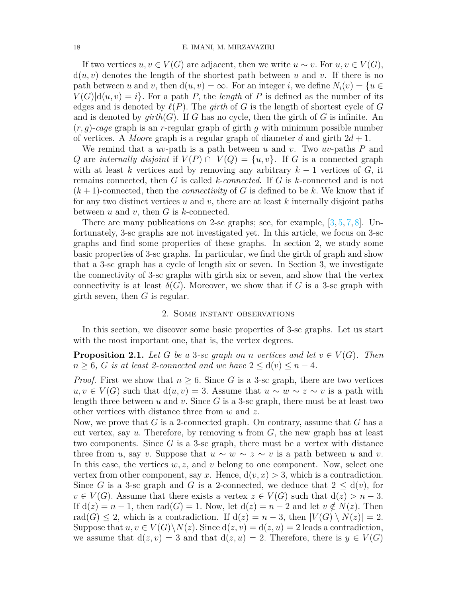If two vertices  $u, v \in V(G)$  are adjacent, then we write  $u \sim v$ . For  $u, v \in V(G)$ ,  $d(u, v)$  denotes the length of the shortest path between *u* and *v*. If there is no path between *u* and *v*, then  $d(u, v) = \infty$ . For an integer *i*, we define  $N_i(v) = \{u \in$  $V(G)|d(u, v) = i$ . For a path *P*, the *length* of *P* is defined as the number of its edges and is denoted by  $\ell(P)$ . The *girth* of *G* is the length of shortest cycle of *G* and is denoted by  $\text{girth}(G)$ . If G has no cycle, then the girth of G is infinite. An (*r, g*)-*cage* graph is an *r*-regular graph of girth *g* with minimum possible number of vertices. A *Moore* graph is a regular graph of diameter *d* and girth  $2d + 1$ .

We remind that a *uv*-path is a path between *u* and *v*. Two *uv*-paths *P* and *Q* are *internally disjoint* if  $V(P) \cap V(Q) = \{u, v\}$ . If *G* is a connected graph with at least *k* vertices and by removing any arbitrary  $k-1$  vertices of  $G$ , it remains connected, then *G* is called *k-connected*. If *G* is *k*-connected and is not  $(k+1)$ -connected, then the *connectivity* of G is defined to be k. We know that if for any two distinct vertices *u* and *v*, there are at least *k* internally disjoint paths between *u* and *v,* then *G* is *k*-connected.

There are many publications on 2-sc graphs; see, for example,  $[3, 5, 7, 8]$  $[3, 5, 7, 8]$  $[3, 5, 7, 8]$  $[3, 5, 7, 8]$  $[3, 5, 7, 8]$  $[3, 5, 7, 8]$  $[3, 5, 7, 8]$  $[3, 5, 7, 8]$  $[3, 5, 7, 8]$ . Unfortunately, 3-sc graphs are not investigated yet. In this article, we focus on 3-sc graphs and find some properties of these graphs. In section 2*,* we study some basic properties of 3-sc graphs. In particular, we find the girth of graph and show that a 3-sc graph has a cycle of length six or seven. In Section 3*,* we investigate the connectivity of 3-sc graphs with girth six or seven, and show that the vertex connectivity is at least  $\delta(G)$ . Moreover, we show that if *G* is a 3-sc graph with girth seven, then *G* is regular.

#### 2. Some instant observations

In this section, we discover some basic properties of 3-sc graphs. Let us start with the most important one, that is, the vertex degrees.

<span id="page-1-0"></span>**Proposition 2.1.** *Let G be a* 3*-sc graph on n vertices and let*  $v \in V(G)$ *. Then*  $n \geq 6$ , *G is at least 2-connected and we have*  $2 \leq d(v) \leq n-4$ *.* 

*Proof.* First we show that  $n \geq 6$ . Since *G* is a 3-sc graph, there are two vertices  $u, v \in V(G)$  such that  $d(u, v) = 3$ . Assume that  $u \sim w \sim z \sim v$  is a path with length three between *u* and *v.* Since *G* is a 3-sc graph, there must be at least two other vertices with distance three from *w* and *z.*

Now, we prove that *G* is a 2-connected graph. On contrary, assume that *G* has a cut vertex, say *u.* Therefore, by removing *u* from *G,* the new graph has at least two components. Since *G* is a 3-sc graph, there must be a vertex with distance three from *u*, say *v*. Suppose that  $u \sim w \sim z \sim v$  is a path between *u* and *v*. In this case, the vertices *w, z,* and *v* belong to one component. Now, select one vertex from other component, say x. Hence,  $d(v, x) > 3$ , which is a contradiction. Since *G* is a 3-sc graph and *G* is a 2-connected, we deduce that  $2 \leq d(v)$ , for  $v \in V(G)$ . Assume that there exists a vertex  $z \in V(G)$  such that  $d(z) > n-3$ . If  $d(z) = n - 1$ , then  $rad(G) = 1$ . Now, let  $d(z) = n - 2$  and let  $v \notin N(z)$ . Then rad(*G*)  $\leq$  2*,* which is a contradiction. If  $d(z) = n - 3$ , then  $|V(G) \setminus N(z)| = 2$ . Suppose that  $u, v \in V(G) \backslash N(z)$ . Since  $d(z, v) = d(z, u) = 2$  leads a contradiction, we assume that  $d(z, v) = 3$  and that  $d(z, u) = 2$ . Therefore, there is  $y \in V(G)$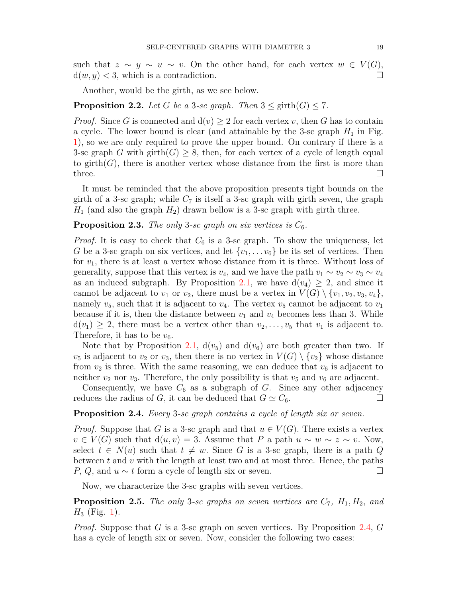such that  $z \sim y \sim u \sim v$ . On the other hand, for each vertex  $w \in V(G)$ ,  $d(w, y) < 3$ , which is a contradiction.

Another, would be the girth, as we see below.

## **Proposition 2.2.** *Let G be a* 3*-sc graph. Then*  $3 \leq \text{girth}(G) \leq 7$ *.*

*Proof.* Since *G* is connected and  $d(v) \geq 2$  for each vertex *v*, then *G* has to contain a cycle. The lower bound is clear (and attainable by the 3-sc graph  $H_1$  in Fig. [1](#page-3-0)), so we are only required to prove the upper bound. On contrary if there is a 3-sc graph *G* with girth(*G*)  $\geq$  8, then, for each vertex of a cycle of length equal to girth( $G$ ), there is another vertex whose distance from the first is more than three.  $\Box$ 

It must be reminded that the above proposition presents tight bounds on the girth of a 3-sc graph; while  $C_7$  is itself a 3-sc graph with girth seven, the graph  $H_1$  (and also the graph  $H_2$ ) drawn bellow is a 3-sc graph with girth three.

## **Proposition 2.3.** *The only* 3-sc graph on six vertices is  $C_6$ .

*Proof.* It is easy to check that  $C_6$  is a 3-sc graph. To show the uniqueness, let *G* be a 3-sc graph on six vertices, and let  $\{v_1, \ldots v_6\}$  be its set of vertices. Then for *v*1, there is at least a vertex whose distance from it is three. Without loss of generality, suppose that this vertex is  $v_4$ , and we have the path  $v_1 \sim v_2 \sim v_3 \sim v_4$ as an induced subgraph. By Proposition [2.1,](#page-1-0) we have  $d(v_4) \geq 2$ , and since it cannot be adjacent to  $v_1$  or  $v_2$ , there must be a vertex in  $V(G) \setminus \{v_1, v_2, v_3, v_4\}$ , namely  $v_5$ , such that it is adjacent to  $v_4$ . The vertex  $v_5$  cannot be adjacent to  $v_1$ because if it is, then the distance between  $v_1$  and  $v_4$  becomes less than 3. While  $d(v_1) \geq 2$ , there must be a vertex other than  $v_2, \ldots, v_5$  that  $v_1$  is adjacent to. Therefore, it has to be  $v_6$ .

Note that by Proposition [2.1](#page-1-0),  $d(v_5)$  and  $d(v_6)$  are both greater than two. If  $v_5$  is adjacent to  $v_2$  or  $v_3$ , then there is no vertex in  $V(G) \setminus \{v_2\}$  whose distance from  $v_2$  is three. With the same reasoning, we can deduce that  $v_6$  is adjacent to neither  $v_2$  nor  $v_3$ . Therefore, the only possibility is that  $v_5$  and  $v_6$  are adjacent.

Consequently, we have  $C_6$  as a subgraph of  $G$ . Since any other adjacency reduces the radius of *G*, it can be deduced that  $G \simeq C_6$ .

#### <span id="page-2-0"></span>**Proposition 2.4.** *Every* 3*-sc graph contains a cycle of length six or seven.*

*Proof.* Suppose that *G* is a 3-sc graph and that  $u \in V(G)$ . There exists a vertex  $v \in V(G)$  such that  $d(u, v) = 3$ . Assume that *P* a path  $u \sim w \sim z \sim v$ . Now, select  $t \in N(u)$  such that  $t \neq w$ . Since *G* is a 3-sc graph, there is a path *Q* between *t* and *v* with the length at least two and at most three. Hence, the paths  $P, Q$ , and  $u \sim t$  form a cycle of length six or seven. □

Now, we characterize the 3-sc graphs with seven vertices.

**Proposition 2.5.** *The only* 3*-sc graphs on seven vertices are C*7*, H*1*, H*2*, and*  $H_3$  (Fig. [1](#page-3-0)).

*Proof.* Suppose that *G* is a 3-sc graph on seven vertices. By Proposition [2.4](#page-2-0), *G* has a cycle of length six or seven. Now, consider the following two cases: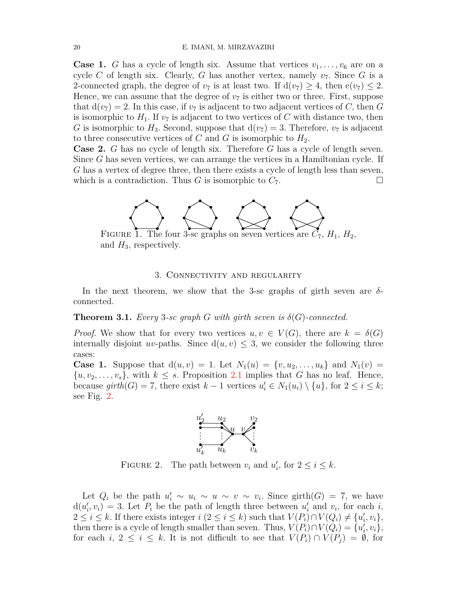**Case 1.** *G* has a cycle of length six. Assume that vertices  $v_1, \ldots, v_6$  are on a cycle *C* of length six. Clearly, *G* has another vertex, namely  $v_7$ . Since *G* is a 2-connected graph, the degree of  $v_7$  is at least two. If  $d(v_7) \geq 4$ , then  $e(v_7) \leq 2$ . Hence, we can assume that the degree of  $v<sub>7</sub>$  is either two or three. First, suppose that  $d(v_7) = 2$ . In this case, if  $v_7$  is adjacent to two adjacent vertices of *C*, then *G* is isomorphic to  $H_1$ . If  $v_7$  is adjacent to two vertices of C with distance two, then *G* is isomorphic to  $H_3$ . Second, suppose that  $d(v_7) = 3$ . Therefore,  $v_7$  is adjacent to three consecutive vertices of  $C$  and  $G$  is isomorphic to  $H_2$ .

**Case 2.** *G* has no cycle of length six. Therefore *G* has a cycle of length seven. Since *G* has seven vertices, we can arrange the vertices in a Hamiltonian cycle. If *G* has a vertex of degree three, then there exists a cycle of length less than seven, which is a contradiction. Thus *G* is isomorphic to  $C_7$ .



FIGURE 1. The four 3-sc graphs on seven vertices are  $C_7$ ,  $H_1$ ,  $H_2$ , and *H*3*,* respectively.

## <span id="page-3-0"></span>3. Connectivity and regularity

In the next theorem, we show that the 3-sc graphs of girth seven are *δ*connected.

**Theorem 3.1.** *Every* 3-sc graph *G* with girth seven is  $\delta(G)$ -connected.

*Proof.* We show that for every two vertices  $u, v \in V(G)$ , there are  $k = \delta(G)$ internally disjoint *uv*-paths. Since  $d(u, v) \leq 3$ , we consider the following three cases:

**Case 1.** Suppose that  $d(u, v) = 1$ . Let  $N_1(u) = \{v, u_2, \ldots, u_k\}$  and  $N_1(v) =$  $\{u, v_2, \ldots, v_s\}$ , with  $k \leq s$ . Proposition [2.1](#page-1-0) implies that *G* has no leaf. Hence, because  $girth(G) = 7$ , there exist  $k-1$  vertices  $u'_i \in N_1(u_i) \setminus \{u\}$ , for  $2 \leq i \leq k$ ; see Fig. [2](#page-3-1).

<span id="page-3-1"></span>

FIGURE 2. The path between  $v_i$  and  $u'_i$ , for  $2 \le i \le k$ .

Let  $Q_i$  be the path  $u'_i \sim u_i \sim u \sim v \sim v_i$ . Since girth(*G*) = 7, we have  $d(u'_i, v_i) = 3$ . Let  $P_i$  be the path of length three between  $u'_i$  and  $v_i$ , for each *i*,  $2 \leq i \leq k$ . If there exists integer  $i (2 \leq i \leq k)$  such that  $V(P_i) \cap V(Q_i) \neq \{u'_i, v_i\},$ then there is a cycle of length smaller than seven. Thus,  $V(P_i) \cap V(Q_i) = \{u'_i, v_i\},\$ for each  $i, 2 \leq i \leq k$ . It is not difficult to see that  $V(P_i) \cap V(P_j) = \emptyset$ , for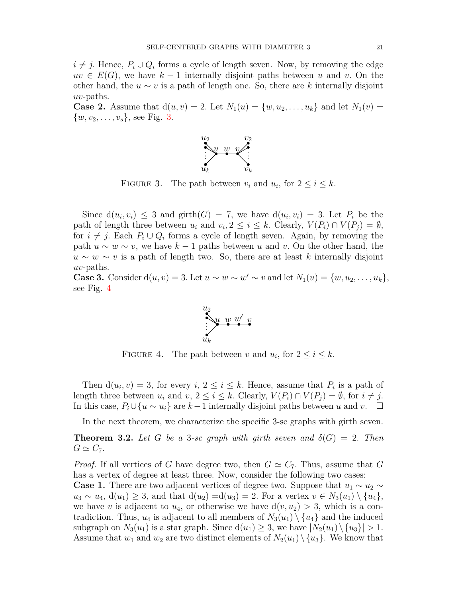*i*  $\neq$  *j*. Hence,  $P_i ∪ Q_i$  forms a cycle of length seven. Now, by removing the edge  $uv \in E(G)$ , we have  $k-1$  internally disjoint paths between *u* and *v*. On the other hand, the  $u \sim v$  is a path of length one. So, there are k internally disjoint *uv*-paths.

**Case 2.** Assume that  $d(u, v) = 2$ . Let  $N_1(u) = \{w, u_2, \ldots, u_k\}$  and let  $N_1(v) =$  $\{w, v_2, \ldots, v_s\}$ , see Fig. [3.](#page-4-0)

<span id="page-4-0"></span>

FIGURE 3. The path between  $v_i$  and  $u_i$ , for  $2 \le i \le k$ .

Since  $d(u_i, v_i) \leq 3$  and girth $(G) = 7$ , we have  $d(u_i, v_i) = 3$ . Let  $P_i$  be the path of length three between  $u_i$  and  $v_i, 2 \leq i \leq k$ . Clearly,  $V(P_i) \cap V(P_j) = \emptyset$ , for  $i \neq j$ . Each  $P_i \cup Q_i$  forms a cycle of length seven. Again, by removing the path  $u \sim w \sim v$ , we have  $k-1$  paths between *u* and *v*. On the other hand, the  $u \sim w \sim v$  is a path of length two. So, there are at least *k* internally disjoint *uv*-paths.

**Case 3.** Consider  $d(u, v) = 3$ . Let  $u \sim w \sim w' \sim v$  and let  $N_1(u) = \{w, u_2, \ldots, u_k\}$ , see Fig. [4](#page-4-1)

<span id="page-4-1"></span>

FIGURE 4. The path between *v* and  $u_i$ , for  $2 \le i \le k$ .

Then  $d(u_i, v) = 3$ , for every *i*,  $2 \le i \le k$ . Hence, assume that  $P_i$  is a path of length three between  $u_i$  and  $v, 2 \leq i \leq k$ . Clearly,  $V(P_i) \cap V(P_j) = \emptyset$ , for  $i \neq j$ . In this case,  $P_i \cup \{u \sim u_i\}$  are  $k-1$  internally disjoint paths between *u* and *v*. □

In the next theorem, we characterize the specific 3-sc graphs with girth seven.

<span id="page-4-2"></span>**Theorem 3.2.** Let G be a 3-sc graph with girth seven and  $\delta(G) = 2$ . Then  $G \simeq C_7$ .

*Proof.* If all vertices of *G* have degree two, then  $G \simeq C_7$ . Thus, assume that *G* has a vertex of degree at least three. Now, consider the following two cases:

**Case 1.** There are two adjacent vertices of degree two. Suppose that  $u_1 \sim u_2 \sim$  $u_3 \sim u_4$ ,  $d(u_1) \geq 3$ , and that  $d(u_2) = d(u_3) = 2$ . For a vertex  $v \in N_3(u_1) \setminus \{u_4\}$ , we have *v* is adjacent to  $u_4$ , or otherwise we have  $d(v, u_2) > 3$ , which is a contradiction. Thus,  $u_4$  is adjacent to all members of  $N_3(u_1) \setminus \{u_4\}$  and the induced subgraph on  $N_3(u_1)$  is a star graph. Since  $d(u_1) \geq 3$ , we have  $|N_2(u_1) \setminus \{u_3\}| > 1$ . Assume that  $w_1$  and  $w_2$  are two distinct elements of  $N_2(u_1) \setminus \{u_3\}$ . We know that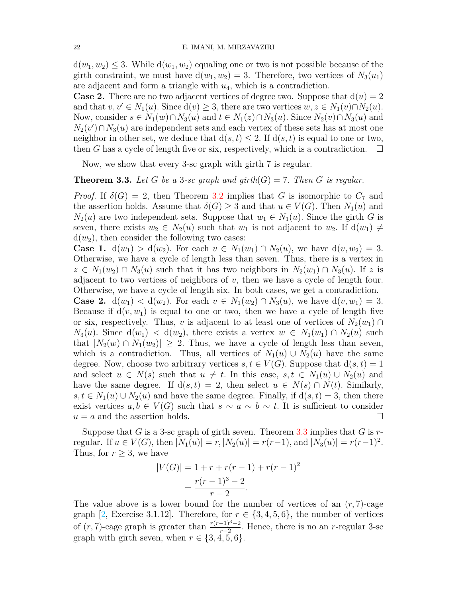$d(w_1, w_2) \leq 3$ . While  $d(w_1, w_2)$  equaling one or two is not possible because of the girth constraint, we must have  $d(w_1, w_2) = 3$ . Therefore, two vertices of  $N_3(u_1)$ are adjacent and form a triangle with *u*4, which is a contradiction.

**Case 2.** There are no two adjacent vertices of degree two. Suppose that  $d(u) = 2$ and that  $v, v' \in N_1(u)$ . Since  $d(v) \geq 3$ , there are two vertices  $w, z \in N_1(v) \cap N_2(u)$ . Now, consider  $s \in N_1(w) \cap N_3(u)$  and  $t \in N_1(z) \cap N_3(u)$ . Since  $N_2(v) \cap N_3(u)$  and  $N_2(v') \cap N_3(u)$  are independent sets and each vertex of these sets has at most one neighbor in other set, we deduce that  $d(s, t) \leq 2$ . If  $d(s, t)$  is equal to one or two, then *G* has a cycle of length five or six, respectively, which is a contradiction.  $\square$ 

Now, we show that every 3-sc graph with girth 7 is regular.

<span id="page-5-0"></span>**Theorem 3.3.** Let G be a 3-sc graph and girth $(G) = 7$ . Then G is regular.

*Proof.* If  $\delta(G) = 2$ , then Theorem [3.2](#page-4-2) implies that *G* is isomorphic to  $C_7$  and the assertion holds. Assume that  $\delta(G) \geq 3$  and that  $u \in V(G)$ . Then  $N_1(u)$  and  $N_2(u)$  are two independent sets. Suppose that  $w_1 \in N_1(u)$ . Since the girth *G* is seven, there exists  $w_2 \in N_2(u)$  such that  $w_1$  is not adjacent to  $w_2$ . If  $d(w_1) \neq$  $d(w_2)$ , then consider the following two cases:

**Case 1.**  $d(w_1) > d(w_2)$ . For each  $v \in N_1(w_1) \cap N_2(u)$ , we have  $d(v, w_2) = 3$ . Otherwise, we have a cycle of length less than seven. Thus, there is a vertex in  $z \in N_1(w_2) \cap N_3(u)$  such that it has two neighbors in  $N_2(w_1) \cap N_3(u)$ . If *z* is adjacent to two vertices of neighbors of *v,* then we have a cycle of length four. Otherwise, we have a cycle of length six. In both cases, we get a contradiction.

**Case 2.**  $d(w_1) < d(w_2)$ . For each  $v \in N_1(w_2) \cap N_3(u)$ , we have  $d(v, w_1) = 3$ . Because if  $d(v, w_1)$  is equal to one or two, then we have a cycle of length five or six, respectively. Thus, *v* is adjacent to at least one of vertices of  $N_2(w_1) \cap$  $N_3(u)$ . Since  $d(w_1) < d(w_2)$ , there exists a vertex  $w \in N_1(w_1) \cap N_2(u)$  such that  $|N_2(w) \cap N_1(w_2)| \geq 2$ . Thus, we have a cycle of length less than seven, which is a contradiction. Thus, all vertices of  $N_1(u) \cup N_2(u)$  have the same degree. Now, choose two arbitrary vertices  $s, t \in V(G)$ . Suppose that  $d(s,t) = 1$ and select  $u \in N(s)$  such that  $u \neq t$ . In this case,  $s, t \in N_1(u) \cup N_2(u)$  and have the same degree. If  $d(s, t) = 2$ , then select  $u \in N(s) \cap N(t)$ . Similarly, *s, t* ∈ *N*<sub>1</sub>(*u*)  $\cup$  *N*<sub>2</sub>(*u*) and have the same degree. Finally, if  $d(s,t) = 3$ , then there exist vertices  $a, b \in V(G)$  such that  $s \sim a \sim b \sim t$ . It is sufficient to consider  $u = a$  and the assertion holds.  $\Box$ 

Suppose that *G* is a 3-sc graph of girth seven. Theorem [3.3](#page-5-0) implies that *G* is *r*regular. If  $u \in V(G)$ , then  $|N_1(u)| = r, |N_2(u)| = r(r-1)$ , and  $|N_3(u)| = r(r-1)^2$ . Thus, for  $r \geq 3$ , we have

$$
|V(G)| = 1 + r + r(r - 1) + r(r - 1)^{2}
$$
  
= 
$$
\frac{r(r-1)^{3} - 2}{r - 2}.
$$

The value above is a lower bound for the number of vertices of an  $(r, 7)$ -cage graph [\[2,](#page-7-7) Exercise 3.1.12]. Therefore, for  $r \in \{3, 4, 5, 6\}$ , the number of vertices of  $(r, 7)$ -cage graph is greater than  $\frac{r(r-1)^3-2}{r-2}$ . Hence, there is no an *r*-regular 3-sc graph with girth seven, when  $r \in \{3, 4, 5, 6\}$ .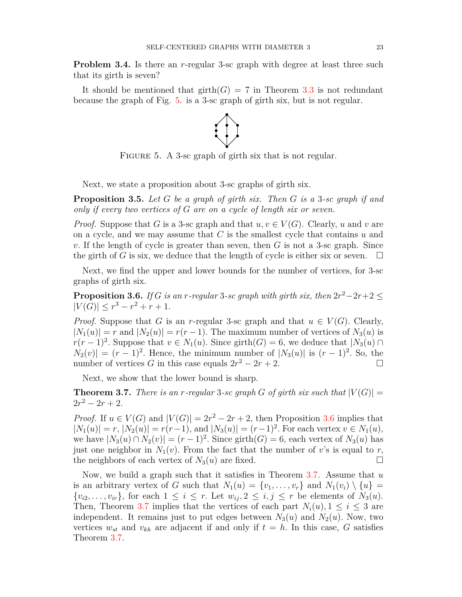**Problem 3.4.** Is there an *r*-regular 3-sc graph with degree at least three such that its girth is seven?

It should be mentioned that  $girth(G) = 7$  in Theorem [3.3](#page-5-0) is not redundant because the graph of Fig. [5](#page-6-0). is a 3-sc graph of girth six, but is not regular.

<span id="page-6-0"></span>

FIGURE 5. A 3-sc graph of girth six that is not regular.

Next, we state a proposition about 3-sc graphs of girth six.

**Proposition 3.5.** *Let G be a graph of girth six. Then G is a* 3*-sc graph if and only if every two vertices of G are on a cycle of length six or seven.*

*Proof.* Suppose that *G* is a 3-sc graph and that  $u, v \in V(G)$ . Clearly, *u* and *v* are on a cycle, and we may assume that *C* is the smallest cycle that contains *u* and *v.* If the length of cycle is greater than seven, then *G* is not a 3-sc graph. Since the girth of *G* is six, we deduce that the length of cycle is either six or seven.  $\Box$ 

Next, we find the upper and lower bounds for the number of vertices, for 3-sc graphs of girth six.

<span id="page-6-1"></span>**Proposition 3.6.** *If G is an r*-regular 3-sc graph with girth six, then  $2r^2 - 2r + 2 \leq$  $|V(G)| \leq r^3 - r^2 + r + 1.$ 

*Proof.* Suppose that *G* is an *r*-regular 3-sc graph and that  $u \in V(G)$ . Clearly,  $|N_1(u)| = r$  and  $|N_2(u)| = r(r-1)$ . The maximum number of vertices of  $N_3(u)$  is *r*(*r* − 1)<sup>2</sup>. Suppose that  $v \in N_1(u)$ . Since girth(*G*) = 6, we deduce that  $|N_3(u) \cap$  $N_2(v)$  =  $(r-1)^2$ . Hence, the minimum number of  $|N_3(u)|$  is  $(r-1)^2$ . So, the number of vertices *G* in this case equals  $2r^2 - 2r + 2$ . □

Next, we show that the lower bound is sharp.

<span id="page-6-2"></span>**Theorem 3.7.** There is an r-regular 3-sc graph G of girth six such that  $|V(G)| =$  $2r^2 - 2r + 2$ .

*Proof.* If  $u \in V(G)$  and  $|V(G)| = 2r^2 - 2r + 2$ , then Proposition [3.6](#page-6-1) implies that  $|N_1(u)| = r, |N_2(u)| = r(r-1)$ , and  $|N_3(u)| = (r-1)^2$ . For each vertex  $v \in N_1(u)$ , we have  $|N_3(u) \cap N_2(v)| = (r-1)^2$ . Since girth $(G) = 6$ , each vertex of  $N_3(u)$  has just one neighbor in  $N_1(v)$ . From the fact that the number of *v*'s is equal to *r*, the neighbors of each vertex of  $N_3(u)$  are fixed.  $\Box$ 

Now, we build a graph such that it satisfies in Theorem [3.7](#page-6-2). Assume that *u* is an arbitrary vertex of *G* such that  $N_1(u) = \{v_1, \ldots, v_r\}$  and  $N_1(v_i) \setminus \{u\}$  $\{v_{i2},\ldots,v_{ir}\}\$ , for each  $1\leq i\leq r$ . Let  $w_{ij}, 2\leq i,j\leq r$  be elements of  $N_3(u)$ . Then, Theorem [3.7](#page-6-2) implies that the vertices of each part  $N_i(u)$ ,  $1 \leq i \leq 3$  are independent. It remains just to put edges between  $N_3(u)$  and  $N_2(u)$ . Now, two vertices  $w_{st}$  and  $v_{kh}$  are adjacent if and only if  $t = h$ . In this case, *G* satisfies Theorem [3.7.](#page-6-2)